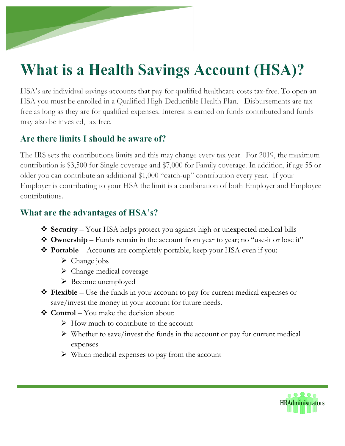# **What is a Health Savings Account (HSA)?**

HSA's are individual savings accounts that pay for qualified healthcare costs tax-free. To open an HSA you must be enrolled in a Qualified High-Deductible Health Plan. Disbursements are taxfree as long as they are for qualified expenses. Interest is earned on funds contributed and funds may also be invested, tax free.

## Are there limits I should be aware of?

The IRS sets the contributions limits and this may change every tax year. For 2019, the maximum contribution is \$3,500 for Single coverage and \$7,000 for Family coverage. In addition, if age 55 or older you can contribute an additional \$1,000 "catch-up" contribution every year. If your Employer is contributing to your HSA the limit is a combination of both Employer and Employee contributions.

## What are the advantages of HSA's?

- ❖ **Security** Your HSA helps protect you against high or unexpected medical bills
- ❖ **Ownership** Funds remain in the account from year to year; no "use-it or lose it"
- ❖ **Portable** Accounts are completely portable, keep your HSA even if you:
	- $\triangleright$  Change jobs
	- ➢ Change medical coverage
	- ➢ Become unemployed
- ❖ **Flexible** Use the funds in your account to pay for current medical expenses or save/invest the money in your account for future needs.
- ❖ **Control** You make the decision about:
	- $\triangleright$  How much to contribute to the account
	- $\triangleright$  Whether to save/invest the funds in the account or pay for current medical expenses
	- $\triangleright$  Which medical expenses to pay from the account

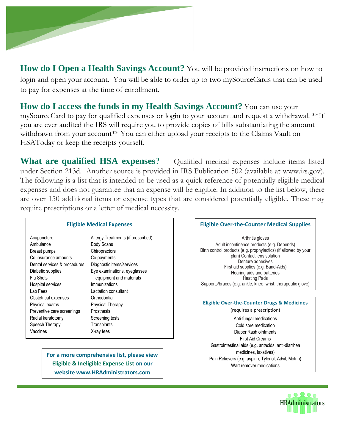

**How do I Open a Health Savings Account?** You will be provided instructions on how to login and open your account. You will be able to order up to two mySourceCards that can be used to pay for expenses at the time of enrollment.

**How do I access the funds in my Health Savings Account?** You can use your mySourceCard to pay for qualified expenses or login to your account and request a withdrawal. \*\*If you are ever audited the IRS will require you to provide copies of bills substantiating the amount withdrawn from your account\*\* You can either upload your receipts to the Claims Vault on HSAToday or keep the receipts yourself.

**What are qualified HSA expenses**? Qualified medical expenses include items listed under Section 213d. Another source is provided in IRS Publication 502 (available at www.irs.gov). The following is a list that is intended to be used as a quick reference of potentially eligible medical expenses and does not guarantee that an expense will be eligible. In addition to the list below, there are over 150 additional items or expense types that are considered potentially eligible. These may require prescriptions or a letter of medical necessity.

| <b>Eligible Medical Expenses</b> |                                    |
|----------------------------------|------------------------------------|
| Acupuncture                      | Allergy Treatments (if prescribed) |
| Ambulance                        | <b>Body Scans</b>                  |
| Breast pumps                     | Chiropractors                      |
| Co-insurance amounts             | Co-payments                        |
| Dental services & procedures     | Diagnostic items/services          |
| Diabetic supplies                | Eye examinations, eyeglasses       |
| Flu Shots                        | equipment and materials            |
| Hospital services                | Immunizations                      |
| Lab Fees                         | Lactation consultant               |
| Obstetrical expenses             | Orthodontia                        |
| Physical exams                   | <b>Physical Therapy</b>            |
| Preventive care screenings       | Prosthesis                         |
| Radial keratotomy                | Screening tests                    |
| Speech Therapy                   | Transplants                        |
| Vaccines                         | X-ray fees                         |

**For a more comprehensive list, please view Eligible & Ineligible Expense List on our website www.HRAdministrators.com**

#### **Eligible Over-the-Counter Medical Supplies** Arthritis gloves Adult incontinence products (e.g. Depends) Birth control products (e.g. prophylactics) (if allowed by your plan) Contact lens solution Denture adhesives First aid supplies (e.g. Band-Aids) Hearing aids and batteries Heating Pads Supports/braces (e.g. ankle, knee, wrist, therapeutic glove) **Eligible Over-the-Counter Drugs & Medicines** (requires a prescription) Anti-fungal medications Cold sore medication Diaper Rash ointments First Aid Creams Gastrointestinal aids (e.g. antacids, anti-diarrhea medicines, laxatives) Pain Relievers (e.g. aspirin, Tylenol, Advil, Motrin) Wart remover medications